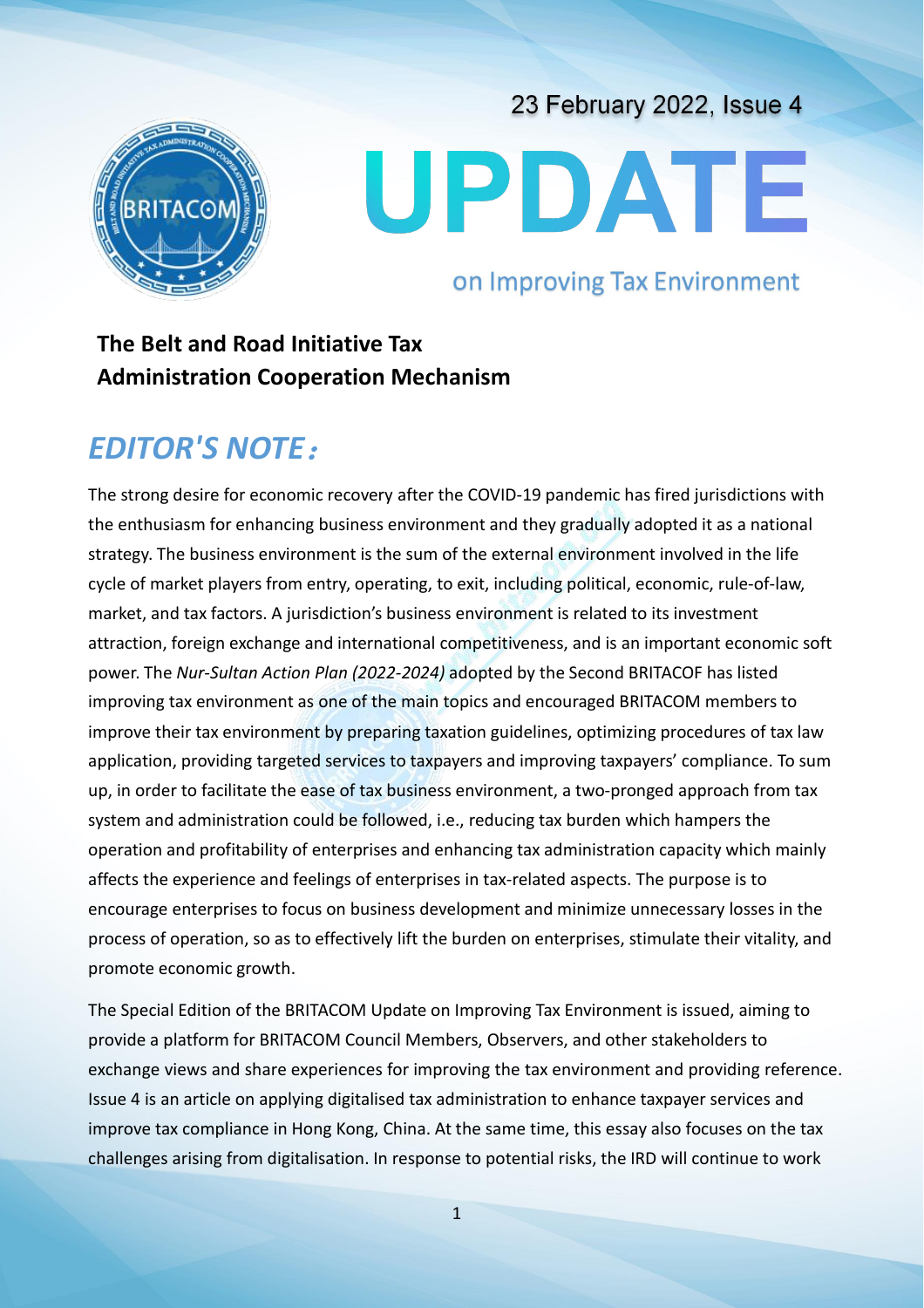# UPDATE

# on Improving Tax Environment

23 February 2022, Issue 4

# **The Belt and Road Initiative Tax Administration Cooperation Mechanism**

# *EDITOR'S NOTE*:

The strong desire for economic recovery after the COVID-19 pandemic has fired jurisdictions with the enthusiasm for enhancing business environment and they gradually adopted it as a national strategy. The business environment is the sum of the external environment involved in the life cycle of market players from entry, operating, to exit, including political, economic, rule-of-law, market, and tax factors. A jurisdiction's business environment is related to its investment attraction, foreign exchange and international competitiveness, and is an important economic soft power. The *Nur-Sultan Action Plan (2022-2024)* adopted by the Second BRITACOF has listed improving tax environment as one of the main topics and encouraged BRITACOM members to improve their tax environment by preparing taxation guidelines, optimizing procedures of tax law application, providing targeted services to taxpayers and improving taxpayers' compliance. To sum up, in order to facilitate the ease of tax business environment, a two-pronged approach from tax system and administration could be followed, i.e., reducing tax burden which hampers the operation and profitability of enterprises and enhancing tax administration capacity which mainly affects the experience and feelings of enterprises in tax-related aspects. The purpose is to encourage enterprises to focus on business development and minimize unnecessary losses in the process of operation, so as to effectively lift the burden on enterprises, stimulate their vitality, and promote economic growth.

The Special Edition of the BRITACOM Update on Improving Tax Environment is issued, aiming to provide a platform for BRITACOM Council Members, Observers, and other stakeholders to exchange views and share experiences for improving the tax environment and providing reference. Issue 4 is an article on applying digitalised tax administration to enhance taxpayer services and improve tax compliance in Hong Kong, China. At the same time, this essay also focuses on the tax challenges arising from digitalisation. In response to potential risks, the IRD will continue to work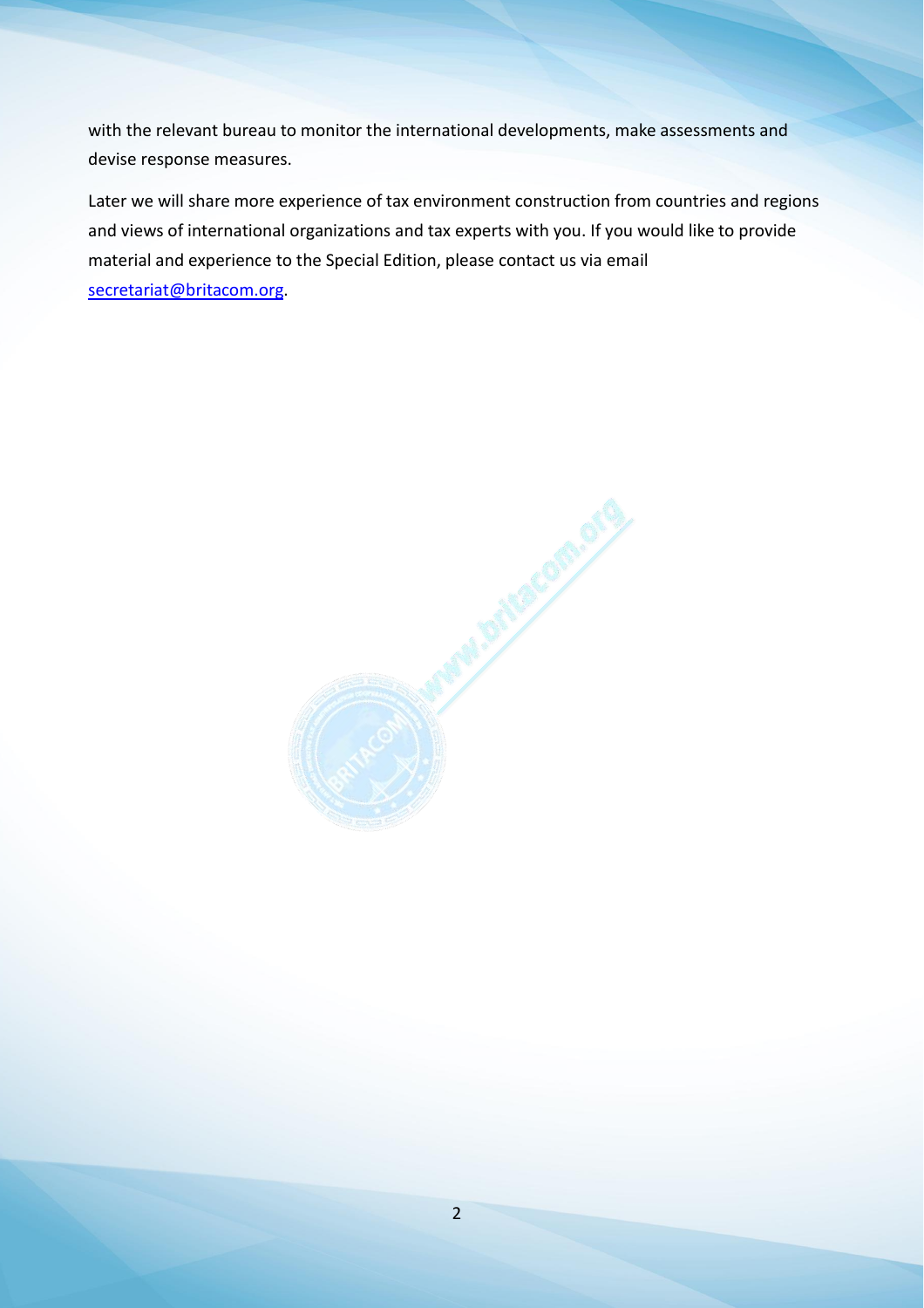with the relevant bureau to monitor the international developments, make assessments and devise response measures.

Later we will share more experience of tax environment construction from countries and regions and views of international organizations and tax experts with you. If you would like to provide material and experience to the Special Edition, please contact us via email secretariat@britacom.org.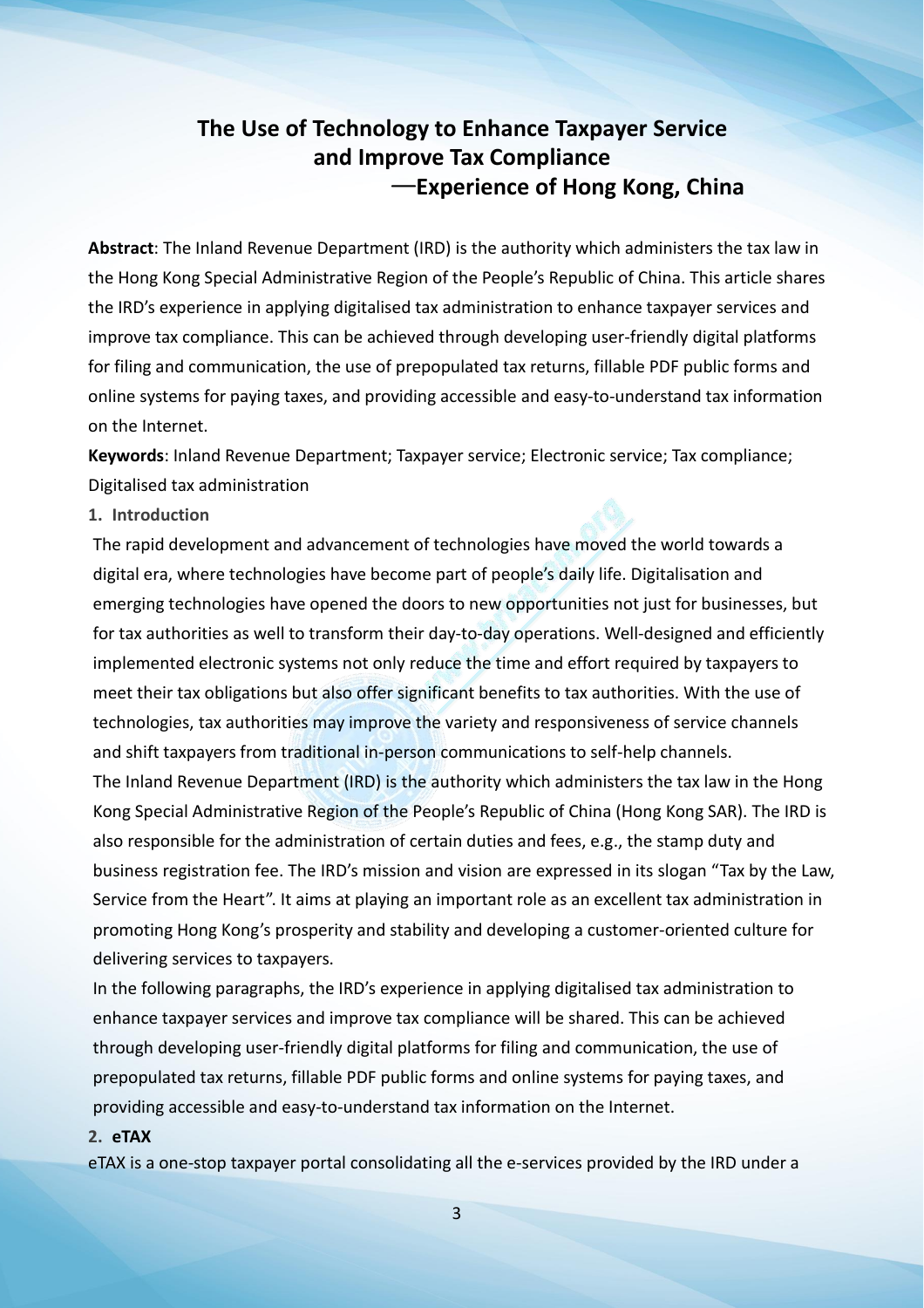# **The Use of Technology to Enhance Taxpayer Service and Improve Tax Compliance** —**Experience of Hong Kong, China**

**Abstract**: The Inland Revenue Department (IRD) is the authority which administers the tax law in the Hong Kong Special Administrative Region of the People's Republic of China. This article shares the IRD's experience in applying digitalised tax administration to enhance taxpayer services and improve tax compliance. This can be achieved through developing user-friendly digital platforms for filing and communication, the use of prepopulated tax returns, fillable PDF public forms and online systems for paying taxes, and providing accessible and easy-to-understand tax information on the Internet.

**Keywords**: Inland Revenue Department; Taxpayer service; Electronic service; Tax compliance; Digitalised tax administration

### **1. Introduction**

The rapid development and advancement of technologies have moved the world towards a digital era, where technologies have become part of people's daily life. Digitalisation and emerging technologies have opened the doors to new opportunities not just for businesses, but for tax authorities as well to transform their day-to-day operations. Well-designed and efficiently implemented electronic systems not only reduce the time and effort required by taxpayers to meet their tax obligations but also offer significant benefits to tax authorities. With the use of technologies, tax authorities may improve the variety and responsiveness of service channels and shift taxpayers from traditional in-person communications to self-help channels. The Inland Revenue Department (IRD) is the authority which administers the tax law in the Hong Kong Special Administrative Region of the People's Republic of China (Hong Kong SAR). The IRD is

also responsible for the administration of certain duties and fees, e.g., the stamp duty and business registration fee. The IRD's mission and vision are expressed in its slogan "Tax by the Law, Service from the Heart". It aims at playing an important role as an excellent tax administration in promoting Hong Kong's prosperity and stability and developing a customer-oriented culture for delivering services to taxpayers.

In the following paragraphs, the IRD's experience in applying digitalised tax administration to enhance taxpayer services and improve tax compliance will be shared. This can be achieved through developing user-friendly digital platforms for filing and communication, the use of prepopulated tax returns, fillable PDF public forms and online systems for paying taxes, and providing accessible and easy-to-understand tax information on the Internet.

### **2. eTAX**

eTAX is a one-stop taxpayer portal consolidating all the e-services provided by the IRD under a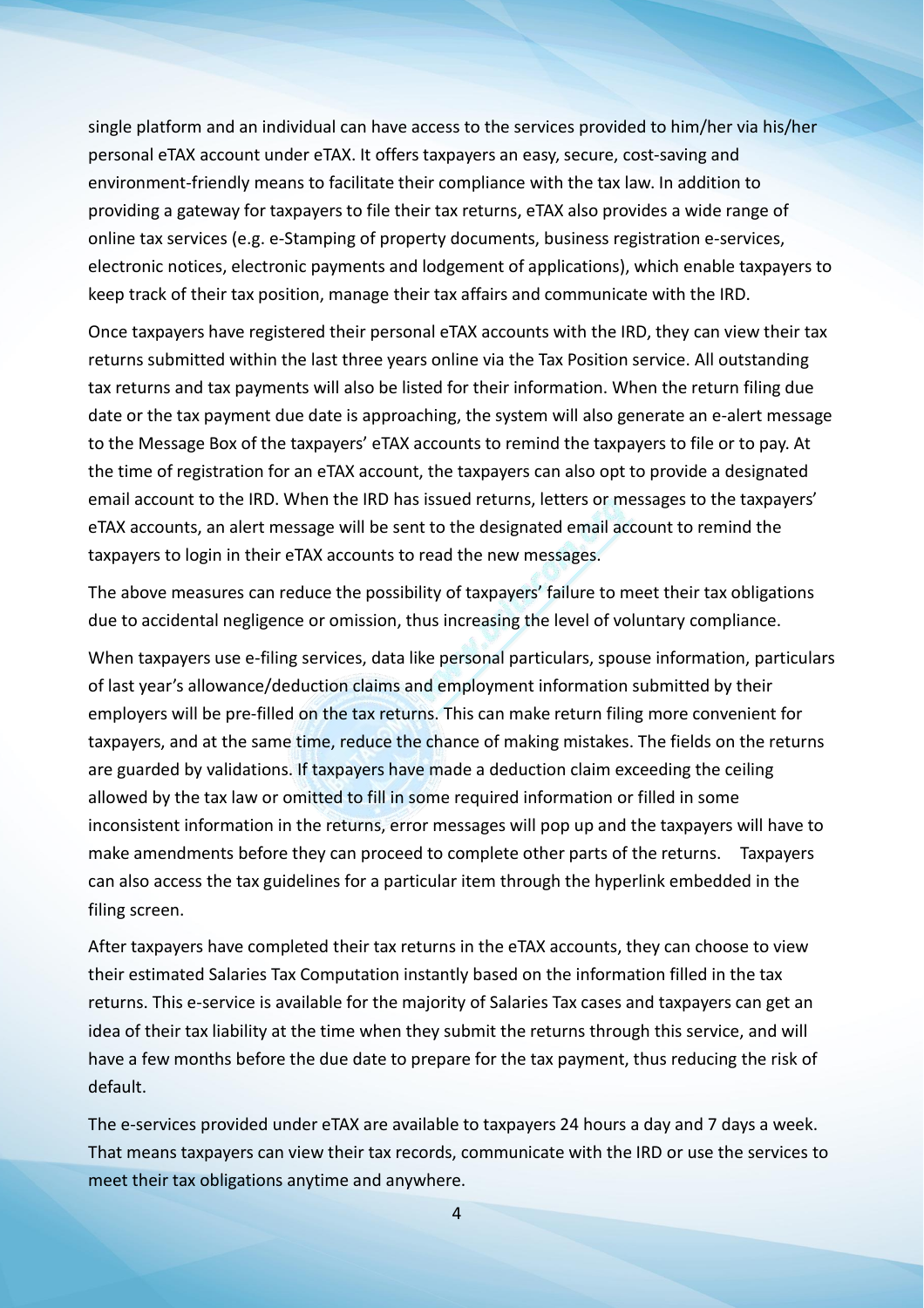single platform and an individual can have access to the services provided to him/her via his/her personal eTAX account under eTAX. It offers taxpayers an easy, secure, cost-saving and environment-friendly means to facilitate their compliance with the tax law. In addition to providing a gateway for taxpayers to file their tax returns, eTAX also provides a wide range of online tax services (e.g. e-Stamping of property documents, business registration e-services, electronic notices, electronic payments and lodgement of applications), which enable taxpayers to keep track of their tax position, manage their tax affairs and communicate with the IRD.

Once taxpayers have registered their personal eTAX accounts with the IRD, they can view their tax returns submitted within the last three years online via the Tax Position service. All outstanding tax returns and tax payments will also be listed for their information. When the return filing due date or the tax payment due date is approaching, the system will also generate an e-alert message to the Message Box of the taxpayers' eTAX accounts to remind the taxpayers to file or to pay. At the time of registration for an eTAX account, the taxpayers can also opt to provide a designated email account to the IRD. When the IRD has issued returns, letters or messages to the taxpayers' eTAX accounts, an alert message will be sent to the designated email account to remind the taxpayers to login in their eTAX accounts to read the new messages.

The above measures can reduce the possibility of taxpayers' failure to meet their tax obligations due to accidental negligence or omission, thus increasing the level of voluntary compliance.

When taxpayers use e-filing services, data like personal particulars, spouse information, particulars of last year's allowance/deduction claims and employment information submitted by their employers will be pre-filled on the tax returns. This can make return filing more convenient for taxpayers, and at the same time, reduce the chance of making mistakes. The fields on the returns are guarded by validations. If taxpayers have made a deduction claim exceeding the ceiling allowed by the tax law or omitted to fill in some required information or filled in some inconsistent information in the returns, error messages will pop up and the taxpayers will have to make amendments before they can proceed to complete other parts of the returns. Taxpayers can also access the tax guidelines for a particular item through the hyperlink embedded in the filing screen.

After taxpayers have completed their tax returns in the eTAX accounts, they can choose to view their estimated Salaries Tax Computation instantly based on the information filled in the tax returns. This e-service is available for the majority of Salaries Tax cases and taxpayers can get an idea of their tax liability at the time when they submit the returns through this service, and will have a few months before the due date to prepare for the tax payment, thus reducing the risk of default.

The e-services provided under eTAX are available to taxpayers 24 hours a day and 7 days a week. That means taxpayers can view their tax records, communicate with the IRD or use the services to meet their tax obligations anytime and anywhere.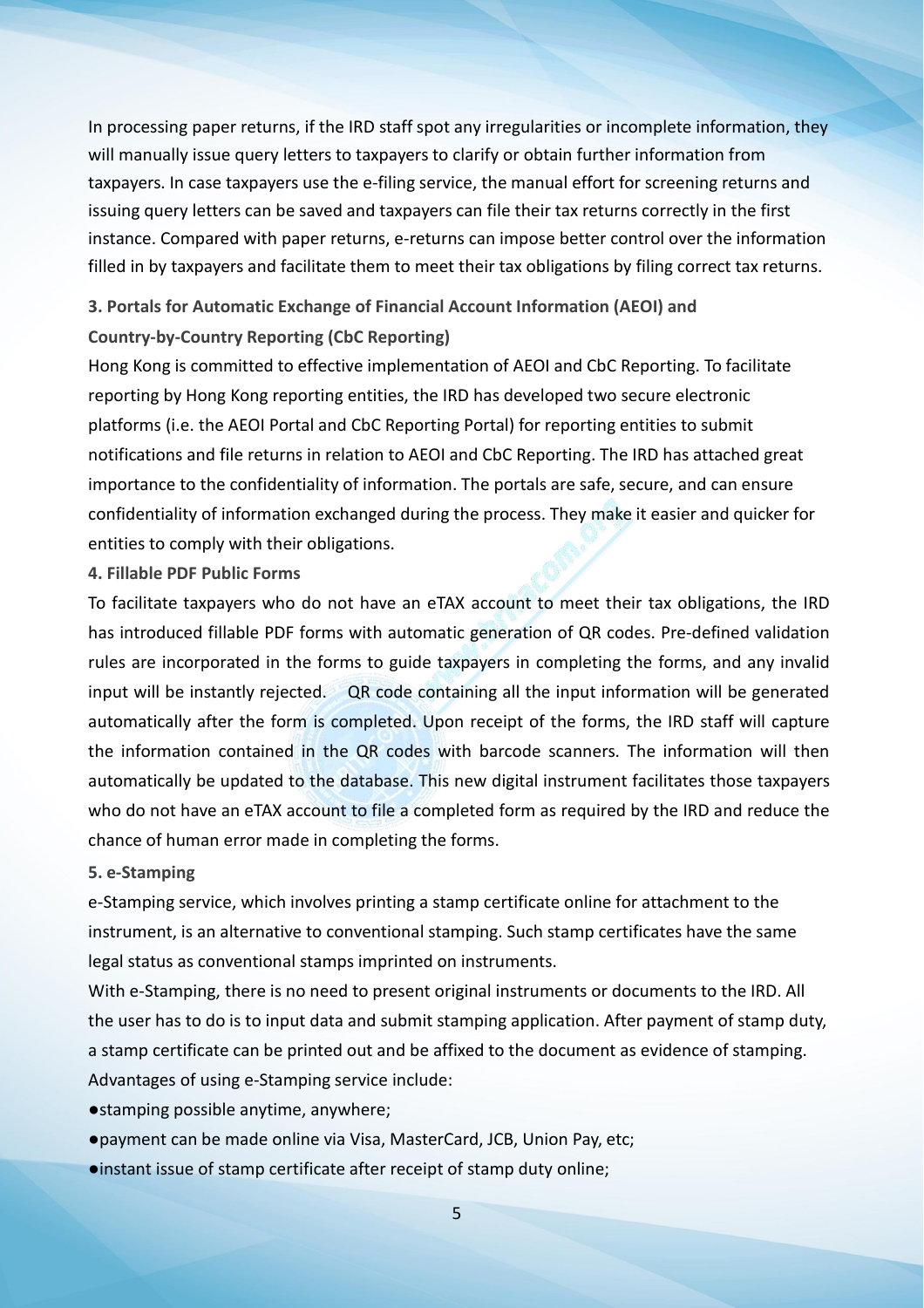In processing paper returns, if the IRD staff spot any irregularities or incomplete information, they will manually issue query letters to taxpayers to clarify or obtain further information from taxpayers. In case taxpayers use the e-filing service, the manual effort for screening returns and issuing query letters can be saved and taxpayers can file their tax returns correctly in the first instance. Compared with paper returns, e-returns can impose better control over the information filled in by taxpayers and facilitate them to meet their tax obligations by filing correct tax returns.

# **3. Portals for Automatic Exchange of Financial Account Information (AEOI) and Country-by-Country Reporting (CbC Reporting)**

Hong Kong is committed to effective implementation of AEOI and CbC Reporting. To facilitate reporting by Hong Kong reporting entities, the IRD has developed two secure electronic platforms (i.e. the AEOI Portal and CbC Reporting Portal) for reporting entities to submit notifications and file returns in relation to AEOI and CbC Reporting. The IRD has attached great importance to the confidentiality of information. The portals are safe, secure, and can ensure confidentiality of information exchanged during the process. They make it easier and quicker for entities to comply with their obligations.

# **4. Fillable PDF Public Forms**

To facilitate taxpayers who do not have an eTAX account to meet their tax obligations, the IRD has introduced fillable PDF forms with automatic generation of QR codes. Pre-defined validation rules are incorporated in the forms to guide taxpayers in completing the forms, and any invalid input will be instantly rejected. QR code containing all the input information will be generated automatically after the form is completed. Upon receipt of the forms, the IRD staff will capture the information contained in the QR codes with barcode scanners. The information will then automatically be updated to the database. This new digital instrument facilitates those taxpayers who do not have an eTAX account to file a completed form as required by the IRD and reduce the chance of human error made in completing the forms.

# **5. e-Stamping**

e-Stamping service, which involves printing a stamp certificate online for attachment to the instrument, is an alternative to conventional stamping. Such stamp certificates have the same legal status as conventional stamps imprinted on instruments.

With e-Stamping, there is no need to present original instruments or documents to the IRD. All the user has to do is to input data and submit stamping application. After payment of stamp duty, a stamp certificate can be printed out and be affixed to the document as evidence of stamping. Advantages of using e-Stamping service include:

●stamping possible anytime, anywhere;

●payment can be made online via Visa, MasterCard, JCB, Union Pay, etc;

●instant issue of stamp certificate after receipt of stamp duty online;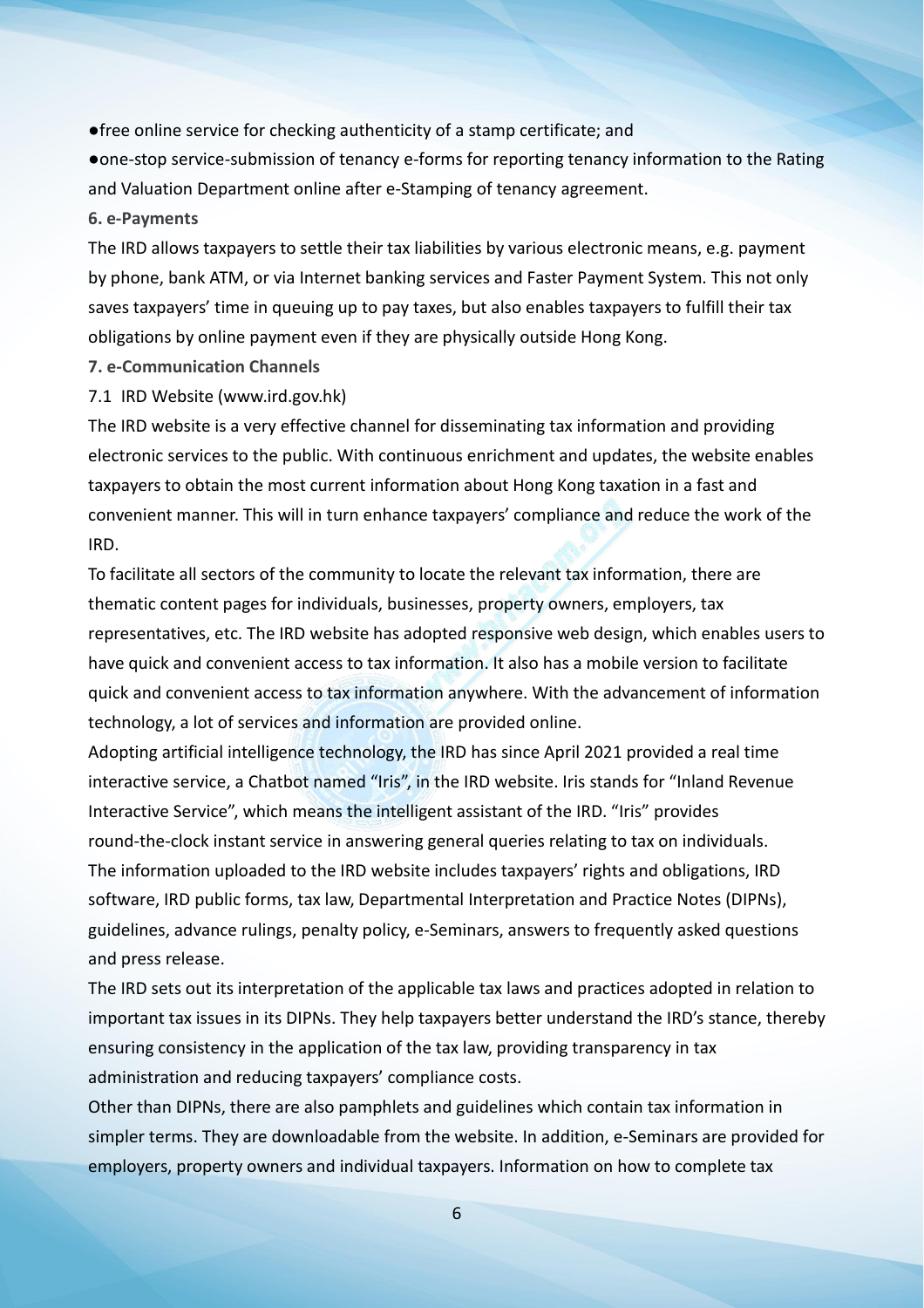●free online service for checking authenticity of a stamp certificate; and

●one-stop service-submission of tenancy e-forms for reporting tenancy information to the Rating and Valuation Department online after e-Stamping of tenancy agreement.

### **6. e-Payments**

The IRD allows taxpayers to settle their tax liabilities by various electronic means, e.g. payment by phone, bank ATM, or via Internet banking services and Faster Payment System. This not only saves taxpayers' time in queuing up to pay taxes, but also enables taxpayers to fulfill their tax obligations by online payment even if they are physically outside Hong Kong.

- **7. e-Communication Channels**
- 7.1 IRD Website (www.ird.gov.hk)

The IRD website is a very effective channel for disseminating tax information and providing electronic services to the public. With continuous enrichment and updates, the website enables taxpayers to obtain the most current information about Hong Kong taxation in a fast and convenient manner. This will in turn enhance taxpayers' compliance and reduce the work of the IRD.

To facilitate all sectors of the community to locate the relevant tax information, there are thematic content pages for individuals, businesses, property owners, employers, tax representatives, etc. The IRD website has adopted responsive web design, which enables users to have quick and convenient access to tax information. It also has a mobile version to facilitate quick and convenient access to tax information anywhere. With the advancement of information technology, a lot of services and information are provided online.

Adopting artificial intelligence technology, the IRD has since April 2021 provided a real time interactive service, a Chatbot named "Iris", in the IRD website. Iris stands for "Inland Revenue Interactive Service", which means the intelligent assistant of the IRD. "Iris" provides round-the-clock instant service in answering general queries relating to tax on individuals. The information uploaded to the IRD website includes taxpayers' rights and obligations, IRD software, IRD public forms, tax law, Departmental Interpretation and Practice Notes (DIPNs), guidelines, advance rulings, penalty policy, e-Seminars, answers to frequently asked questions and press release.

The IRD sets out its interpretation of the applicable tax laws and practices adopted in relation to important tax issues in its DIPNs. They help taxpayers better understand the IRD's stance, thereby ensuring consistency in the application of the tax law, providing transparency in tax administration and reducing taxpayers' compliance costs.

Other than DIPNs, there are also pamphlets and guidelines which contain tax information in simpler terms. They are downloadable from the website. In addition, e-Seminars are provided for employers, property owners and individual taxpayers. Information on how to complete tax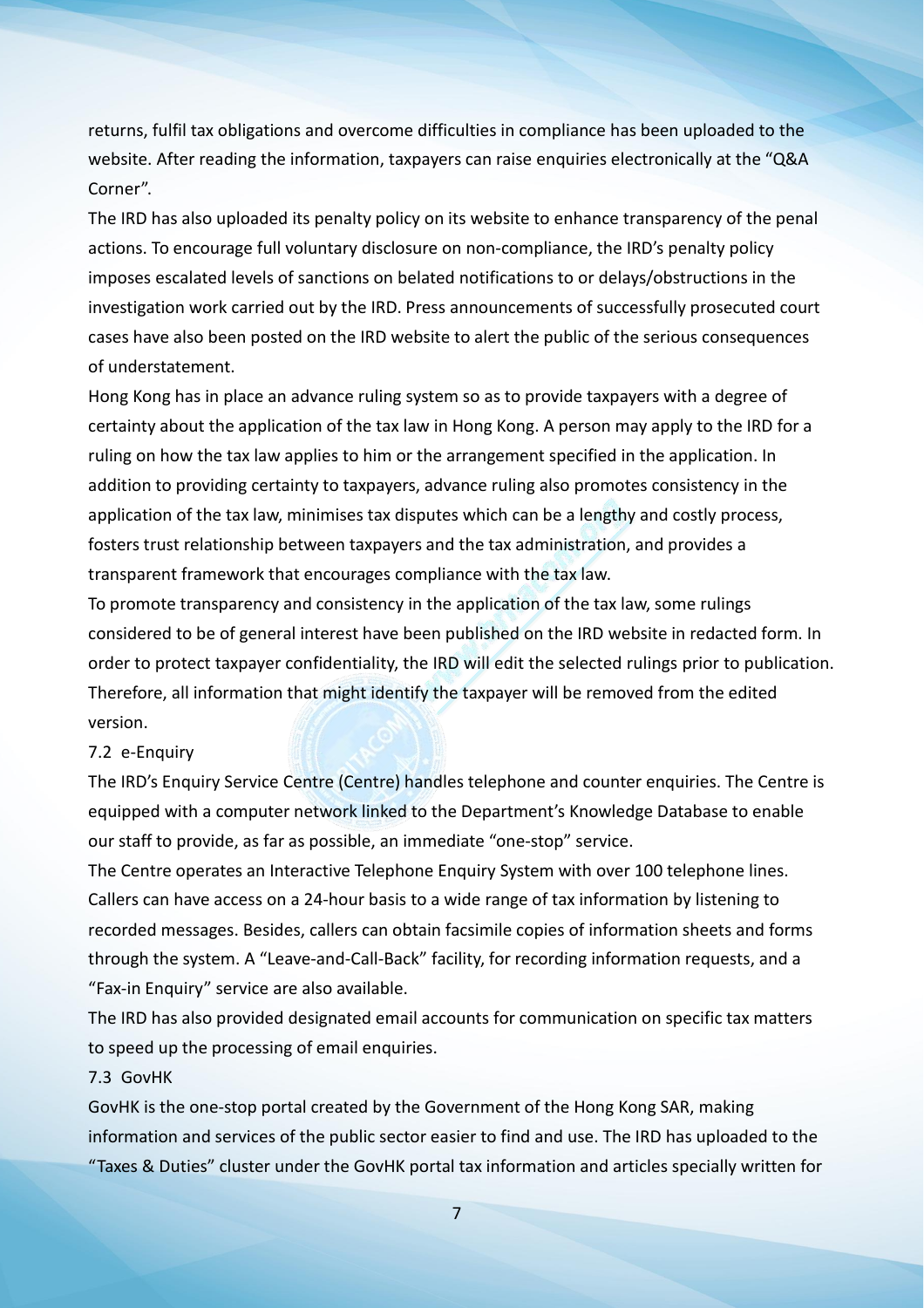returns, fulfil tax obligations and overcome difficulties in compliance has been uploaded to the website. After reading the information, taxpayers can raise enquiries electronically at the "Q&A Corner".

The IRD has also uploaded its penalty policy on its website to enhance transparency of the penal actions. To encourage full voluntary disclosure on non-compliance, the IRD's penalty policy imposes escalated levels of sanctions on belated notifications to or delays/obstructions in the investigation work carried out by the IRD. Press announcements of successfully prosecuted court cases have also been posted on the IRD website to alert the public of the serious consequences of understatement.

Hong Kong has in place an advance ruling system so as to provide taxpayers with a degree of certainty about the application of the tax law in Hong Kong. A person may apply to the IRD for a ruling on how the tax law applies to him or the arrangement specified in the application. In addition to providing certainty to taxpayers, advance ruling also promotes consistency in the application of the tax law, minimises tax disputes which can be a lengthy and costly process, fosters trust relationship between taxpayers and the tax administration, and provides a transparent framework that encourages compliance with the tax law.

To promote transparency and consistency in the application of the tax law, some rulings considered to be of general interest have been published on the IRD website in redacted form. In order to protect taxpayer confidentiality, the IRD will edit the selected rulings prior to publication. Therefore, all information that might identify the taxpayer will be removed from the edited version.

# 7.2 e-Enquiry

The IRD's Enquiry Service Centre (Centre) handles telephone and counterenquiries. The Centre is equipped with a computer network linked to the Department's Knowledge Database to enable our staff to provide, as far as possible, an immediate "one-stop" service.

The Centre operates an Interactive Telephone Enquiry System with over 100 telephone lines. Callers can have access on a 24-hour basis to a wide range of tax information by listening to recorded messages. Besides, callers can obtain facsimile copies of information sheets and forms through the system. A "Leave-and-Call-Back" facility, for recording information requests, and a "Fax-in Enquiry" service are also available.

The IRD has also provided designated email accounts for communication on specific tax matters to speed up the processing of email enquiries.

### 7.3 GovHK

GovHK is the one-stop portal created by the Government of the Hong Kong SAR, making information and services of the public sector easier to find and use. The IRD has uploaded to the "Taxes & Duties" cluster under the GovHK portal tax information and articles specially written for